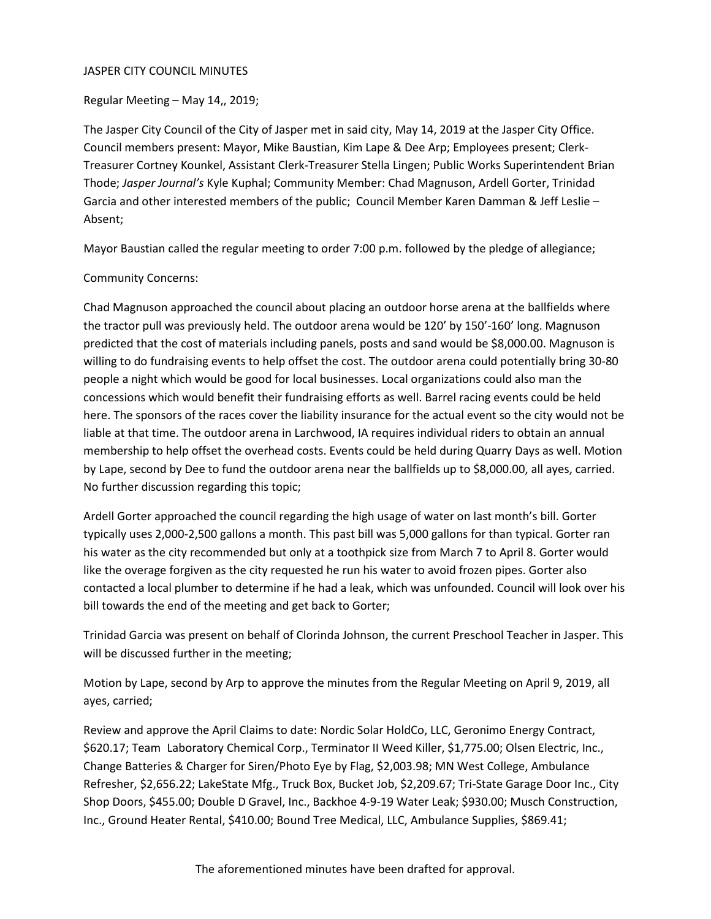#### JASPER CITY COUNCIL MINUTES

Regular Meeting – May 14,, 2019;

The Jasper City Council of the City of Jasper met in said city, May 14, 2019 at the Jasper City Office. Council members present: Mayor, Mike Baustian, Kim Lape & Dee Arp; Employees present; Clerk-Treasurer Cortney Kounkel, Assistant Clerk-Treasurer Stella Lingen; Public Works Superintendent Brian Thode; *Jasper Journal's* Kyle Kuphal; Community Member: Chad Magnuson, Ardell Gorter, Trinidad Garcia and other interested members of the public; Council Member Karen Damman & Jeff Leslie – Absent;

Mayor Baustian called the regular meeting to order 7:00 p.m. followed by the pledge of allegiance;

#### Community Concerns:

Chad Magnuson approached the council about placing an outdoor horse arena at the ballfields where the tractor pull was previously held. The outdoor arena would be 120' by 150'-160' long. Magnuson predicted that the cost of materials including panels, posts and sand would be \$8,000.00. Magnuson is willing to do fundraising events to help offset the cost. The outdoor arena could potentially bring 30-80 people a night which would be good for local businesses. Local organizations could also man the concessions which would benefit their fundraising efforts as well. Barrel racing events could be held here. The sponsors of the races cover the liability insurance for the actual event so the city would not be liable at that time. The outdoor arena in Larchwood, IA requires individual riders to obtain an annual membership to help offset the overhead costs. Events could be held during Quarry Days as well. Motion by Lape, second by Dee to fund the outdoor arena near the ballfields up to \$8,000.00, all ayes, carried. No further discussion regarding this topic;

Ardell Gorter approached the council regarding the high usage of water on last month's bill. Gorter typically uses 2,000-2,500 gallons a month. This past bill was 5,000 gallons for than typical. Gorter ran his water as the city recommended but only at a toothpick size from March 7 to April 8. Gorter would like the overage forgiven as the city requested he run his water to avoid frozen pipes. Gorter also contacted a local plumber to determine if he had a leak, which was unfounded. Council will look over his bill towards the end of the meeting and get back to Gorter;

Trinidad Garcia was present on behalf of Clorinda Johnson, the current Preschool Teacher in Jasper. This will be discussed further in the meeting;

Motion by Lape, second by Arp to approve the minutes from the Regular Meeting on April 9, 2019, all ayes, carried;

Review and approve the April Claims to date: Nordic Solar HoldCo, LLC, Geronimo Energy Contract, \$620.17; Team Laboratory Chemical Corp., Terminator II Weed Killer, \$1,775.00; Olsen Electric, Inc., Change Batteries & Charger for Siren/Photo Eye by Flag, \$2,003.98; MN West College, Ambulance Refresher, \$2,656.22; LakeState Mfg., Truck Box, Bucket Job, \$2,209.67; Tri-State Garage Door Inc., City Shop Doors, \$455.00; Double D Gravel, Inc., Backhoe 4-9-19 Water Leak; \$930.00; Musch Construction, Inc., Ground Heater Rental, \$410.00; Bound Tree Medical, LLC, Ambulance Supplies, \$869.41;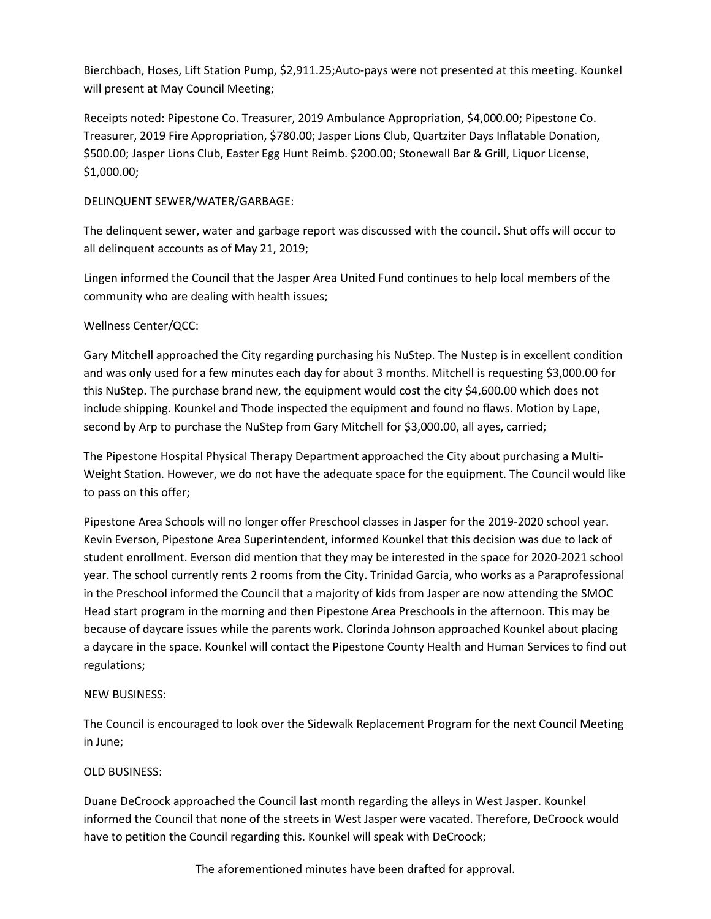Bierchbach, Hoses, Lift Station Pump, \$2,911.25;Auto-pays were not presented at this meeting. Kounkel will present at May Council Meeting;

Receipts noted: Pipestone Co. Treasurer, 2019 Ambulance Appropriation, \$4,000.00; Pipestone Co. Treasurer, 2019 Fire Appropriation, \$780.00; Jasper Lions Club, Quartziter Days Inflatable Donation, \$500.00; Jasper Lions Club, Easter Egg Hunt Reimb. \$200.00; Stonewall Bar & Grill, Liquor License, \$1,000.00;

### DELINQUENT SEWER/WATER/GARBAGE:

The delinquent sewer, water and garbage report was discussed with the council. Shut offs will occur to all delinquent accounts as of May 21, 2019;

Lingen informed the Council that the Jasper Area United Fund continues to help local members of the community who are dealing with health issues;

# Wellness Center/QCC:

Gary Mitchell approached the City regarding purchasing his NuStep. The Nustep is in excellent condition and was only used for a few minutes each day for about 3 months. Mitchell is requesting \$3,000.00 for this NuStep. The purchase brand new, the equipment would cost the city \$4,600.00 which does not include shipping. Kounkel and Thode inspected the equipment and found no flaws. Motion by Lape, second by Arp to purchase the NuStep from Gary Mitchell for \$3,000.00, all ayes, carried;

The Pipestone Hospital Physical Therapy Department approached the City about purchasing a Multi-Weight Station. However, we do not have the adequate space for the equipment. The Council would like to pass on this offer;

Pipestone Area Schools will no longer offer Preschool classes in Jasper for the 2019-2020 school year. Kevin Everson, Pipestone Area Superintendent, informed Kounkel that this decision was due to lack of student enrollment. Everson did mention that they may be interested in the space for 2020-2021 school year. The school currently rents 2 rooms from the City. Trinidad Garcia, who works as a Paraprofessional in the Preschool informed the Council that a majority of kids from Jasper are now attending the SMOC Head start program in the morning and then Pipestone Area Preschools in the afternoon. This may be because of daycare issues while the parents work. Clorinda Johnson approached Kounkel about placing a daycare in the space. Kounkel will contact the Pipestone County Health and Human Services to find out regulations;

# NEW BUSINESS:

The Council is encouraged to look over the Sidewalk Replacement Program for the next Council Meeting in June;

# OLD BUSINESS:

Duane DeCroock approached the Council last month regarding the alleys in West Jasper. Kounkel informed the Council that none of the streets in West Jasper were vacated. Therefore, DeCroock would have to petition the Council regarding this. Kounkel will speak with DeCroock;

The aforementioned minutes have been drafted for approval.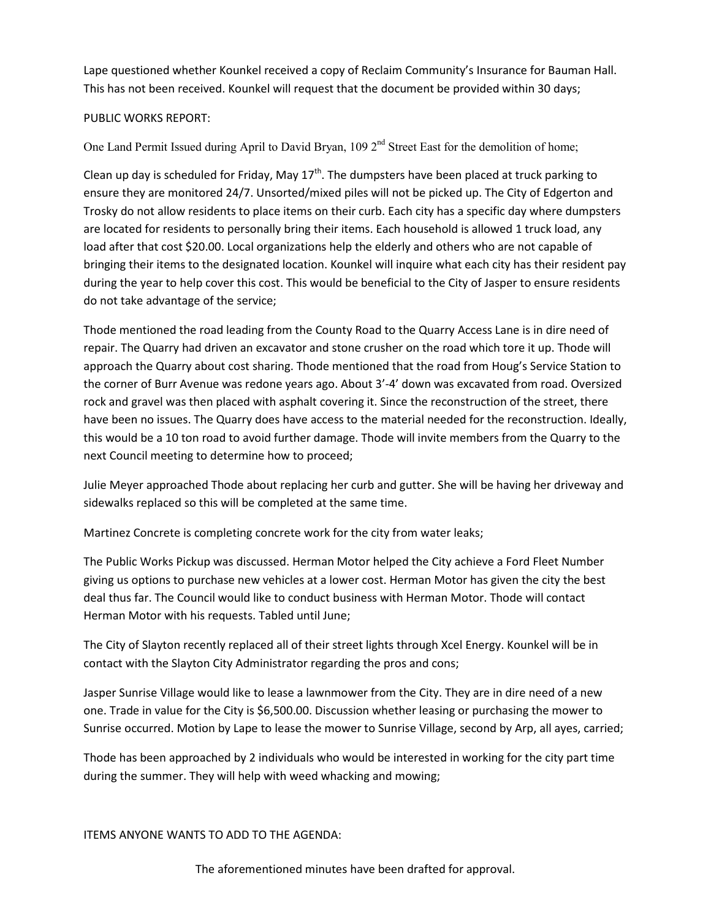Lape questioned whether Kounkel received a copy of Reclaim Community's Insurance for Bauman Hall. This has not been received. Kounkel will request that the document be provided within 30 days;

### PUBLIC WORKS REPORT:

One Land Permit Issued during April to David Bryan, 109 2<sup>nd</sup> Street East for the demolition of home;

Clean up day is scheduled for Friday, May  $17<sup>th</sup>$ . The dumpsters have been placed at truck parking to ensure they are monitored 24/7. Unsorted/mixed piles will not be picked up. The City of Edgerton and Trosky do not allow residents to place items on their curb. Each city has a specific day where dumpsters are located for residents to personally bring their items. Each household is allowed 1 truck load, any load after that cost \$20.00. Local organizations help the elderly and others who are not capable of bringing their items to the designated location. Kounkel will inquire what each city has their resident pay during the year to help cover this cost. This would be beneficial to the City of Jasper to ensure residents do not take advantage of the service;

Thode mentioned the road leading from the County Road to the Quarry Access Lane is in dire need of repair. The Quarry had driven an excavator and stone crusher on the road which tore it up. Thode will approach the Quarry about cost sharing. Thode mentioned that the road from Houg's Service Station to the corner of Burr Avenue was redone years ago. About 3'-4' down was excavated from road. Oversized rock and gravel was then placed with asphalt covering it. Since the reconstruction of the street, there have been no issues. The Quarry does have access to the material needed for the reconstruction. Ideally, this would be a 10 ton road to avoid further damage. Thode will invite members from the Quarry to the next Council meeting to determine how to proceed;

Julie Meyer approached Thode about replacing her curb and gutter. She will be having her driveway and sidewalks replaced so this will be completed at the same time.

Martinez Concrete is completing concrete work for the city from water leaks;

The Public Works Pickup was discussed. Herman Motor helped the City achieve a Ford Fleet Number giving us options to purchase new vehicles at a lower cost. Herman Motor has given the city the best deal thus far. The Council would like to conduct business with Herman Motor. Thode will contact Herman Motor with his requests. Tabled until June;

The City of Slayton recently replaced all of their street lights through Xcel Energy. Kounkel will be in contact with the Slayton City Administrator regarding the pros and cons;

Jasper Sunrise Village would like to lease a lawnmower from the City. They are in dire need of a new one. Trade in value for the City is \$6,500.00. Discussion whether leasing or purchasing the mower to Sunrise occurred. Motion by Lape to lease the mower to Sunrise Village, second by Arp, all ayes, carried;

Thode has been approached by 2 individuals who would be interested in working for the city part time during the summer. They will help with weed whacking and mowing;

ITEMS ANYONE WANTS TO ADD TO THE AGENDA:

The aforementioned minutes have been drafted for approval.